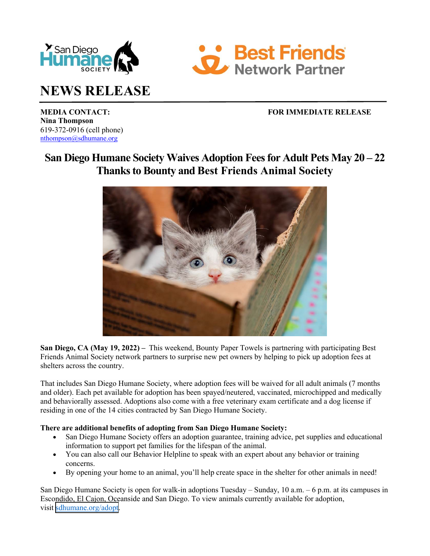



# **NEWS RELEASE**

# **MEDIA CONTACT:** FOR IMMEDIATE RELEASE

**Nina Thompson** 619-372-0916 (cell phone) nthompson@sdhumane.org

# **San Diego Humane Society Waives Adoption Fees for Adult Pets May 20 – 22 Thanks to Bounty and Best Friends Animal Society**



**San Diego, CA (May 19, 2022) –** This weekend, Bounty Paper Towels is partnering with participating Best Friends Animal Society network partners to surprise new pet owners by helping to pick up adoption fees at shelters across the country.

That includes San Diego Humane Society, where adoption fees will be waived for all adult animals (7 months and older). Each pet available for adoption has been spayed/neutered, vaccinated, microchipped and medically and behaviorally assessed. Adoptions also come with a free veterinary exam certificate and a dog license if residing in one of the 14 cities contracted by San Diego Humane Society.

## **There are additional benefits of adopting from San Diego Humane Society:**

- San Diego Humane Society offers an adoption guarantee, training advice, pet supplies and educational information to support pet families for the lifespan of the animal.
- You can also call our Behavior Helpline to speak with an expert about any behavior or training concerns.
- By opening your home to an animal, you'll help create space in the shelter for other animals in need!

San Diego Humane Society is open for walk-in adoptions Tuesday – Sunday, 10 a.m. – 6 p.m. at its campuses in Escondido, El Cajon, Oceanside and San Diego. To view animals currently available for adoption, visit [sdhumane.org/adopt.](www.sdhumane.org/adopt)